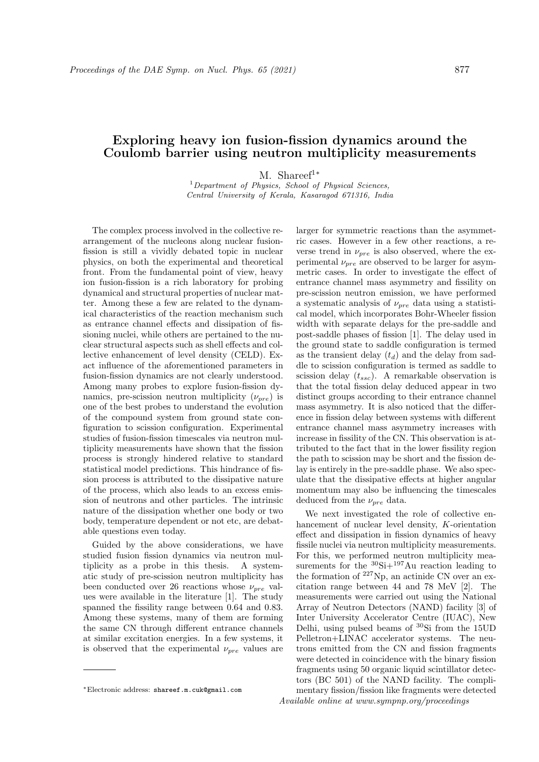## **Exploring heavy ion fusion-fission dynamics around the Coulomb barrier using neutron multiplicity measurements**

M. Shareef<sup>1</sup>*<sup>∗</sup>*

<sup>1</sup>*Department of Physics, School of Physical Sciences, Central University of Kerala, Kasaragod 671316, India*

The complex process involved in the collective rearrangement of the nucleons along nuclear fusionfission is still a vividly debated topic in nuclear physics, on both the experimental and theoretical front. From the fundamental point of view, heavy ion fusion-fission is a rich laboratory for probing dynamical and structural properties of nuclear matter. Among these a few are related to the dynamical characteristics of the reaction mechanism such as entrance channel effects and dissipation of fissioning nuclei, while others are pertained to the nuclear structural aspects such as shell effects and collective enhancement of level density (CELD). Exact influence of the aforementioned parameters in fusion-fission dynamics are not clearly understood. Among many probes to explore fusion-fission dynamics, pre-scission neutron multiplicity  $(\nu_{pre})$  is one of the best probes to understand the evolution of the compound system from ground state configuration to scission configuration. Experimental studies of fusion-fission timescales via neutron multiplicity measurements have shown that the fission process is strongly hindered relative to standard statistical model predictions. This hindrance of fission process is attributed to the dissipative nature of the process, which also leads to an excess emission of neutrons and other particles. The intrinsic nature of the dissipation whether one body or two body, temperature dependent or not etc, are debatable questions even today.

Guided by the above considerations, we have studied fusion fission dynamics via neutron multiplicity as a probe in this thesis. A systematic study of pre-scission neutron multiplicity has been conducted over 26 reactions whose *νpre* values were available in the literature [1]. The study spanned the fissility range between 0.64 and 0.83. Among these systems, many of them are forming the same CN through different entrance channels at similar excitation energies. In a few systems, it is observed that the experimental  $\nu_{pre}$  values are

larger for symmetric reactions than the asymmetric cases. However in a few other reactions, a reverse trend in  $\nu_{pre}$  is also observed, where the experimental  $\nu_{pre}$  are observed to be larger for asymmetric cases. In order to investigate the effect of entrance channel mass asymmetry and fissility on pre-scission neutron emission, we have performed a systematic analysis of *νpre* data using a statistical model, which incorporates Bohr-Wheeler fission width with separate delays for the pre-saddle and post-saddle phases of fission [1]. The delay used in the ground state to saddle configuration is termed as the transient delay  $(t_d)$  and the delay from saddle to scission configuration is termed as saddle to scission delay (*tssc*). A remarkable observation is that the total fission delay deduced appear in two distinct groups according to their entrance channel mass asymmetry. It is also noticed that the difference in fission delay between systems with different entrance channel mass asymmetry increases with increase in fissility of the CN. This observation is attributed to the fact that in the lower fissility region the path to scission may be short and the fission delay is entirely in the pre-saddle phase. We also speculate that the dissipative effects at higher angular momentum may also be influencing the timescales deduced from the *νpre* data.

We next investigated the role of collective enhancement of nuclear level density, *K*-orientation effect and dissipation in fission dynamics of heavy fissile nuclei via neutron multiplicity measurements. For this, we performed neutron multiplicity measurements for the  ${}^{30}$ Si+ ${}^{197}$ Au reaction leading to the formation of  $227Np$ , an actinide CN over an excitation range between 44 and 78 MeV [2]. The measurements were carried out using the National Array of Neutron Detectors (NAND) facility [3] of Inter University Accelerator Centre (IUAC), New Delhi, using pulsed beams of <sup>30</sup>Si from the 15UD Pelletron+LINAC accelerator systems. The neutrons emitted from the CN and fission fragments were detected in coincidence with the binary fission fragments using 50 organic liquid scintillator detectors (BC 501) of the NAND facility. The complimentary fission/fission like fragments were detected Available online at www.sympnp.org/proceedings

*<sup>∗</sup>*Electronic address: shareef.m.cuk@gmail.com